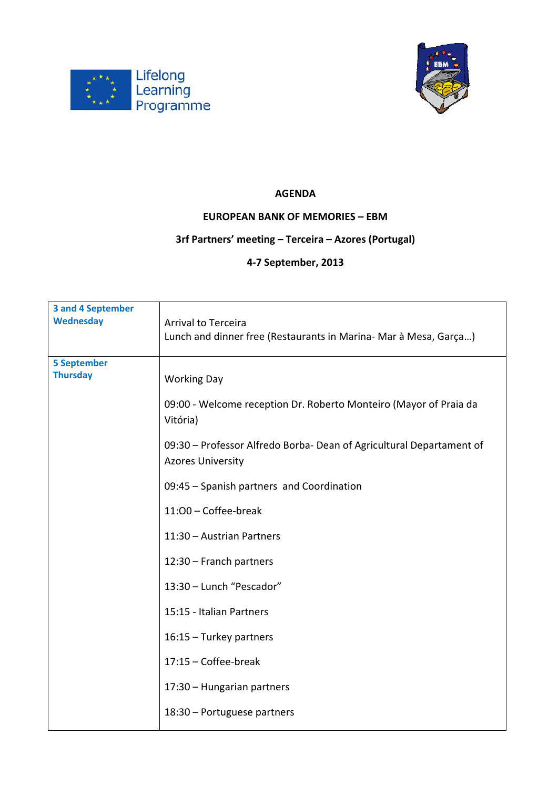



## **AGENDA**

## **EUROPEAN BANK OF MEMORIES – EBM**

## **3rf Partners' meeting – Terceira – Azores (Portugal)**

## **4‐7 September, 2013**

| <b>3 and 4 September</b> |                                                                                                  |
|--------------------------|--------------------------------------------------------------------------------------------------|
| Wednesday                | Arrival to Terceira                                                                              |
|                          | Lunch and dinner free (Restaurants in Marina- Mar à Mesa, Garça)                                 |
| <b>5 September</b>       |                                                                                                  |
| <b>Thursday</b>          | <b>Working Day</b>                                                                               |
|                          | 09:00 - Welcome reception Dr. Roberto Monteiro (Mayor of Praia da<br>Vitória)                    |
|                          | 09:30 - Professor Alfredo Borba- Dean of Agricultural Departament of<br><b>Azores University</b> |
|                          | 09:45 - Spanish partners and Coordination                                                        |
|                          | 11:00 - Coffee-break                                                                             |
|                          | 11:30 - Austrian Partners                                                                        |
|                          | 12:30 - Franch partners                                                                          |
|                          | 13:30 - Lunch "Pescador"                                                                         |
|                          | 15:15 - Italian Partners                                                                         |
|                          | 16:15 - Turkey partners                                                                          |
|                          | 17:15 - Coffee-break                                                                             |
|                          | 17:30 - Hungarian partners                                                                       |
|                          | 18:30 - Portuguese partners                                                                      |